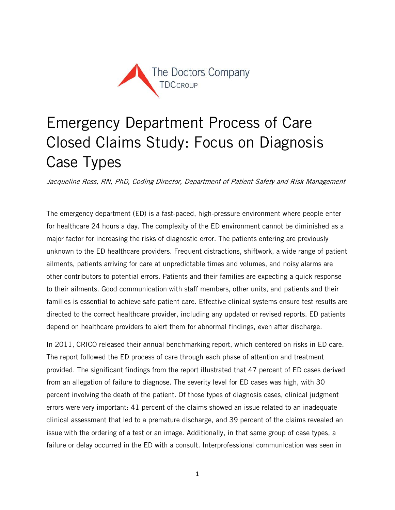

# Emergency Department Process of Care Closed Claims Study: Focus on Diagnosis Case Types

Jacqueline Ross, RN, PhD, Coding Director, Department of Patient Safety and Risk Management

The emergency department (ED) is a fast-paced, high-pressure environment where people enter for healthcare 24 hours a day. The complexity of the ED environment cannot be diminished as a major factor for increasing the risks of diagnostic error. The patients entering are previously unknown to the ED healthcare providers. Frequent distractions, shiftwork, a wide range of patient ailments, patients arriving for care at unpredictable times and volumes, and noisy alarms are other contributors to potential errors. Patients and their families are expecting a quick response to their ailments. Good communication with staff members, other units, and patients and their families is essential to achieve safe patient care. Effective clinical systems ensure test results are directed to the correct healthcare provider, including any updated or revised reports. ED patients depend on healthcare providers to alert them for abnormal findings, even after discharge.

In 2011, CRICO released their annual benchmarking report, which centered on risks in ED care. The report followed the ED process of care through each phase of attention and treatment provided. The significant findings from the report illustrated that 47 percent of ED cases derived from an allegation of failure to diagnose. The severity level for ED cases was high, with 30 percent involving the death of the patient. Of those types of diagnosis cases, clinical judgment errors were very important: 41 percent of the claims showed an issue related to an inadequate clinical assessment that led to a premature discharge, and 39 percent of the claims revealed an issue with the ordering of a test or an image. Additionally, in that same group of case types, a failure or delay occurred in the ED with a consult. Interprofessional communication was seen in

1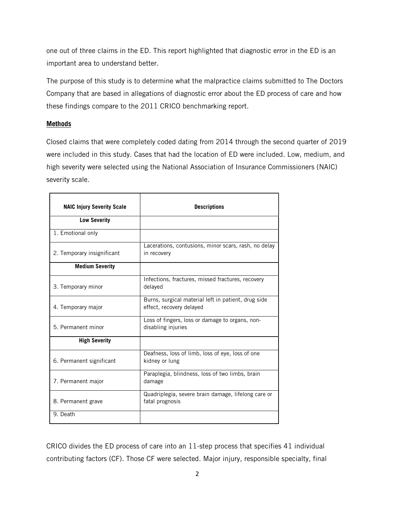one out of three claims in the ED. This report highlighted that diagnostic error in the ED is an important area to understand better.

The purpose of this study is to determine what the malpractice claims submitted to The Doctors Company that are based in allegations of diagnostic error about the ED process of care and how these findings compare to the 2011 CRICO benchmarking report.

# **Methods**

Closed claims that were completely coded dating from 2014 through the second quarter of 2019 were included in this study. Cases that had the location of ED were included. Low, medium, and high severity were selected using the National Association of Insurance Commissioners (NAIC) severity scale.

| <b>NAIC Injury Severity Scale</b> | <b>Descriptions</b>                                                             |
|-----------------------------------|---------------------------------------------------------------------------------|
| <b>Low Severity</b>               |                                                                                 |
| 1. Emotional only                 |                                                                                 |
| 2. Temporary insignificant        | Lacerations, contusions, minor scars, rash, no delay<br>in recovery             |
| <b>Medium Severity</b>            |                                                                                 |
| 3. Temporary minor                | Infections, fractures, missed fractures, recovery<br>delayed                    |
| 4. Temporary major                | Burns, surgical material left in patient, drug side<br>effect, recovery delayed |
| 5. Permanent minor                | Loss of fingers, loss or damage to organs, non-<br>disabling injuries           |
| <b>High Severity</b>              |                                                                                 |
| 6. Permanent significant          | Deafness, loss of limb, loss of eye, loss of one<br>kidney or lung              |
| 7. Permanent major                | Paraplegia, blindness, loss of two limbs, brain<br>damage                       |
| 8. Permanent grave                | Quadriplegia, severe brain damage, lifelong care or<br>fatal prognosis          |
| $\overline{9}$ . Death            |                                                                                 |

CRICO divides the ED process of care into an 11-step process that specifies 41 individual contributing factors (CF). Those CF were selected. Major injury, responsible specialty, final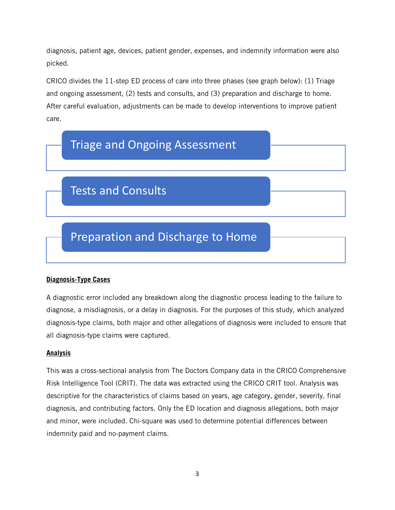diagnosis, patient age, devices, patient gender, expenses, and indemnity information were also picked.

CRICO divides the 11-step ED process of care into three phases (see graph below): (1) Triage and ongoing assessment, (2) tests and consults, and (3) preparation and discharge to home. After careful evaluation, adjustments can be made to develop interventions to improve patient care.



# **Diagnosis-Type Cases**

A diagnostic error included any breakdown along the diagnostic process leading to the failure to diagnose, a misdiagnosis, or a delay in diagnosis. For the purposes of this study, which analyzed diagnosis-type claims, both major and other allegations of diagnosis were included to ensure that all diagnosis-type claims were captured.

# **Analysis**

This was a cross-sectional analysis from The Doctors Company data in the CRICO Comprehensive Risk Intelligence Tool (CRIT). The data was extracted using the CRICO CRIT tool. Analysis was descriptive for the characteristics of claims based on years, age category, gender, severity, final diagnosis, and contributing factors. Only the ED location and diagnosis allegations, both major and minor, were included. Chi-square was used to determine potential differences between indemnity paid and no-payment claims.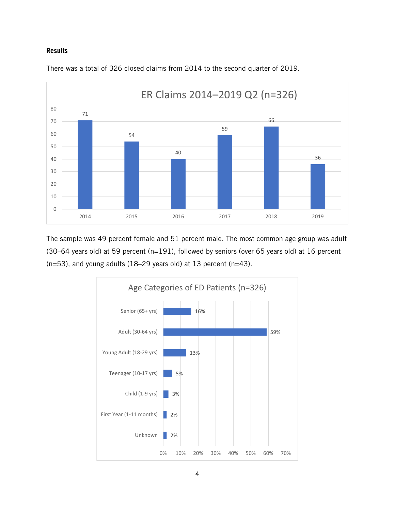#### **Results**



There was a total of 326 closed claims from 2014 to the second quarter of 2019.

The sample was 49 percent female and 51 percent male. The most common age group was adult (30–64 years old) at 59 percent (n=191), followed by seniors (over 65 years old) at 16 percent (n=53), and young adults (18–29 years old) at 13 percent (n=43).

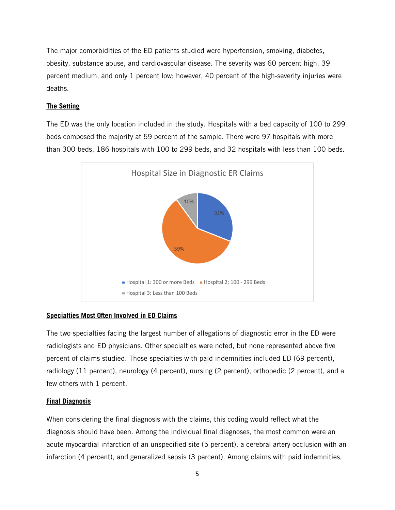The major comorbidities of the ED patients studied were hypertension, smoking, diabetes, obesity, substance abuse, and cardiovascular disease. The severity was 60 percent high, 39 percent medium, and only 1 percent low; however, 40 percent of the high-severity injuries were deaths.

# **The Setting**

The ED was the only location included in the study. Hospitals with a bed capacity of 100 to 299 beds composed the majority at 59 percent of the sample. There were 97 hospitals with more than 300 beds, 186 hospitals with 100 to 299 beds, and 32 hospitals with less than 100 beds.



# **Specialties Most Often Involved in ED Claims**

The two specialties facing the largest number of allegations of diagnostic error in the ED were radiologists and ED physicians. Other specialties were noted, but none represented above five percent of claims studied. Those specialties with paid indemnities included ED (69 percent), radiology (11 percent), neurology (4 percent), nursing (2 percent), orthopedic (2 percent), and a few others with 1 percent.

# **Final Diagnosis**

When considering the final diagnosis with the claims, this coding would reflect what the diagnosis should have been. Among the individual final diagnoses, the most common were an acute myocardial infarction of an unspecified site (5 percent), a cerebral artery occlusion with an infarction (4 percent), and generalized sepsis (3 percent). Among claims with paid indemnities,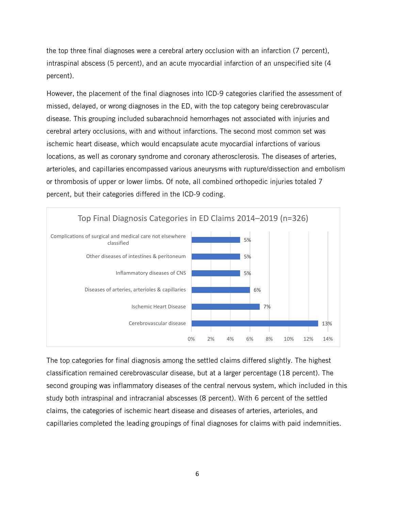the top three final diagnoses were a cerebral artery occlusion with an infarction (7 percent), intraspinal abscess (5 percent), and an acute myocardial infarction of an unspecified site (4 percent).

However, the placement of the final diagnoses into ICD-9 categories clarified the assessment of missed, delayed, or wrong diagnoses in the ED, with the top category being cerebrovascular disease. This grouping included subarachnoid hemorrhages not associated with injuries and cerebral artery occlusions, with and without infarctions. The second most common set was ischemic heart disease, which would encapsulate acute myocardial infarctions of various locations, as well as coronary syndrome and coronary atherosclerosis. The diseases of arteries, arterioles, and capillaries encompassed various aneurysms with rupture/dissection and embolism or thrombosis of upper or lower limbs. Of note, all combined orthopedic injuries totaled 7 percent, but their categories differed in the ICD-9 coding.



The top categories for final diagnosis among the settled claims differed slightly. The highest classification remained cerebrovascular disease, but at a larger percentage (18 percent). The second grouping was inflammatory diseases of the central nervous system, which included in this study both intraspinal and intracranial abscesses (8 percent). With 6 percent of the settled claims, the categories of ischemic heart disease and diseases of arteries, arterioles, and capillaries completed the leading groupings of final diagnoses for claims with paid indemnities.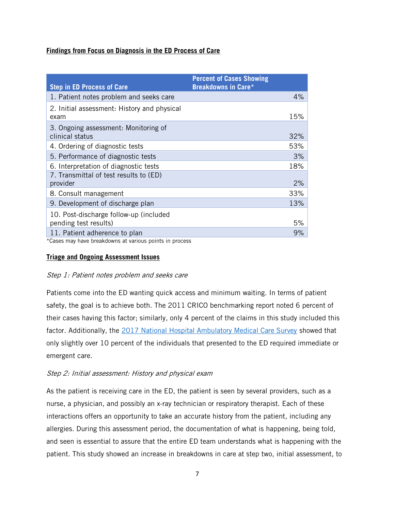# **Findings from Focus on Diagnosis in the ED Process of Care**

| <b>Step in ED Process of Care</b>                       | <b>Percent of Cases Showing</b><br><b>Breakdowns in Care*</b> |     |
|---------------------------------------------------------|---------------------------------------------------------------|-----|
| 1. Patient notes problem and seeks care                 |                                                               | 4%  |
| 2. Initial assessment: History and physical<br>exam     |                                                               | 15% |
| 3. Ongoing assessment: Monitoring of<br>clinical status |                                                               | 32% |
| 4. Ordering of diagnostic tests                         |                                                               | 53% |
| 5. Performance of diagnostic tests                      |                                                               | 3%  |
| 6. Interpretation of diagnostic tests                   |                                                               | 18% |
| 7. Transmittal of test results to (ED)<br>provider      |                                                               | 2%  |
| 8. Consult management                                   |                                                               | 33% |
| 9. Development of discharge plan                        |                                                               | 13% |
| 10. Post-discharge follow-up (included                  |                                                               |     |
| pending test results)                                   |                                                               | 5%  |
| 11. Patient adherence to plan                           |                                                               | 9%  |

\*Cases may have breakdowns at various points in process

#### **Triage and Ongoing Assessment Issues**

# Step 1: Patient notes problem and seeks care

Patients come into the ED wanting quick access and minimum waiting. In terms of patient safety, the goal is to achieve both. The 2011 CRICO benchmarking report noted 6 percent of their cases having this factor; similarly, only 4 percent of the claims in this study included this factor. Additionally, the 2017 National Hospital Ambulatory Medical Care Survey showed that only slightly over 10 percent of the individuals that presented to the ED required immediate or emergent care.

# Step 2: Initial assessment: History and physical exam

As the patient is receiving care in the ED, the patient is seen by several providers, such as a nurse, a physician, and possibly an x-ray technician or respiratory therapist. Each of these interactions offers an opportunity to take an accurate history from the patient, including any allergies. During this assessment period, the documentation of what is happening, being told, and seen is essential to assure that the entire ED team understands what is happening with the patient. This study showed an increase in breakdowns in care at step two, initial assessment, to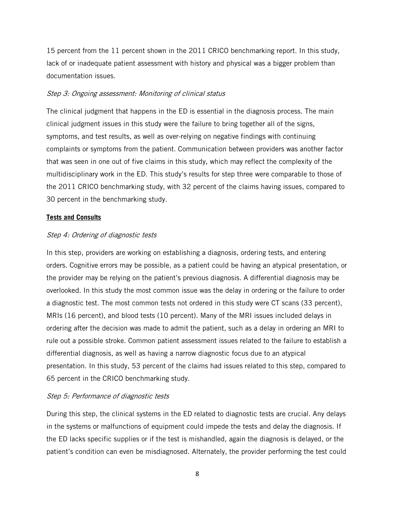15 percent from the 11 percent shown in the 2011 CRICO benchmarking report. In this study, lack of or inadequate patient assessment with history and physical was a bigger problem than documentation issues.

#### Step 3: Ongoing assessment: Monitoring of clinical status

The clinical judgment that happens in the ED is essential in the diagnosis process. The main clinical judgment issues in this study were the failure to bring together all of the signs, symptoms, and test results, as well as over-relying on negative findings with continuing complaints or symptoms from the patient. Communication between providers was another factor that was seen in one out of five claims in this study, which may reflect the complexity of the multidisciplinary work in the ED. This study's results for step three were comparable to those of the 2011 CRICO benchmarking study, with 32 percent of the claims having issues, compared to 30 percent in the benchmarking study.

#### **Tests and Consults**

#### Step 4: Ordering of diagnostic tests

In this step, providers are working on establishing a diagnosis, ordering tests, and entering orders. Cognitive errors may be possible, as a patient could be having an atypical presentation, or the provider may be relying on the patient's previous diagnosis. A differential diagnosis may be overlooked. In this study the most common issue was the delay in ordering or the failure to order a diagnostic test. The most common tests not ordered in this study were CT scans (33 percent), MRIs (16 percent), and blood tests (10 percent). Many of the MRI issues included delays in ordering after the decision was made to admit the patient, such as a delay in ordering an MRI to rule out a possible stroke. Common patient assessment issues related to the failure to establish a differential diagnosis, as well as having a narrow diagnostic focus due to an atypical presentation. In this study, 53 percent of the claims had issues related to this step, compared to 65 percent in the CRICO benchmarking study.

# Step 5: Performance of diagnostic tests

During this step, the clinical systems in the ED related to diagnostic tests are crucial. Any delays in the systems or malfunctions of equipment could impede the tests and delay the diagnosis. If the ED lacks specific supplies or if the test is mishandled, again the diagnosis is delayed, or the patient's condition can even be misdiagnosed. Alternately, the provider performing the test could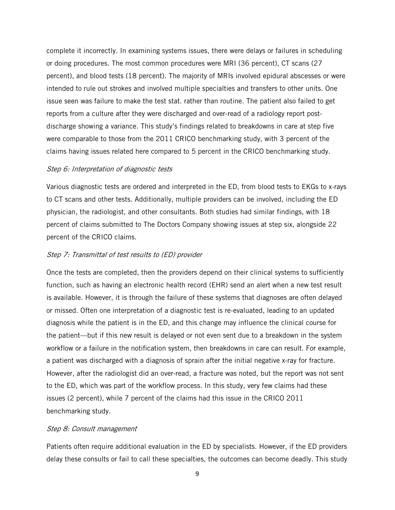complete it incorrectly. In examining systems issues, there were delays or failures in scheduling or doing procedures. The most common procedures were MRI (36 percent), CT scans (27 percent), and blood tests (18 percent). The majority of MRIs involved epidural abscesses or were intended to rule out strokes and involved multiple specialties and transfers to other units. One issue seen was failure to make the test stat. rather than routine. The patient also failed to get reports from a culture after they were discharged and over-read of a radiology report postdischarge showing a variance. This study's findings related to breakdowns in care at step five were comparable to those from the 2011 CRICO benchmarking study, with 3 percent of the claims having issues related here compared to 5 percent in the CRICO benchmarking study.

#### Step 6: Interpretation of diagnostic tests

Various diagnostic tests are ordered and interpreted in the ED, from blood tests to EKGs to x-rays to CT scans and other tests. Additionally, multiple providers can be involved, including the ED physician, the radiologist, and other consultants. Both studies had similar findings, with 18 percent of claims submitted to The Doctors Company showing issues at step six, alongside 22 percent of the CRICO claims.

#### Step 7: Transmittal of test results to (ED) provider

Once the tests are completed, then the providers depend on their clinical systems to sufficiently function, such as having an electronic health record (EHR) send an alert when a new test result is available. However, it is through the failure of these systems that diagnoses are often delayed or missed. Often one interpretation of a diagnostic test is re-evaluated, leading to an updated diagnosis while the patient is in the ED, and this change may influence the clinical course for the patient—but if this new result is delayed or not even sent due to a breakdown in the system workflow or a failure in the notification system, then breakdowns in care can result. For example, a patient was discharged with a diagnosis of sprain after the initial negative x-ray for fracture. However, after the radiologist did an over-read, a fracture was noted, but the report was not sent to the ED, which was part of the workflow process. In this study, very few claims had these issues (2 percent), while 7 percent of the claims had this issue in the CRICO 2011 benchmarking study.

#### Step 8: Consult management

Patients often require additional evaluation in the ED by specialists. However, if the ED providers delay these consults or fail to call these specialties, the outcomes can become deadly. This study

9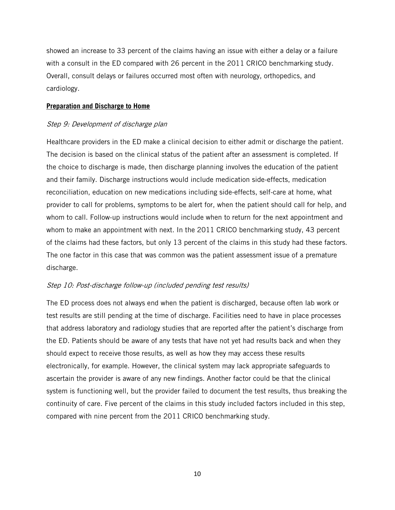showed an increase to 33 percent of the claims having an issue with either a delay or a failure with a consult in the ED compared with 26 percent in the 2011 CRICO benchmarking study. Overall, consult delays or failures occurred most often with neurology, orthopedics, and cardiology.

#### **Preparation and Discharge to Home**

# Step 9: Development of discharge plan

Healthcare providers in the ED make a clinical decision to either admit or discharge the patient. The decision is based on the clinical status of the patient after an assessment is completed. If the choice to discharge is made, then discharge planning involves the education of the patient and their family. Discharge instructions would include medication side-effects, medication reconciliation, education on new medications including side-effects, self-care at home, what provider to call for problems, symptoms to be alert for, when the patient should call for help, and whom to call. Follow-up instructions would include when to return for the next appointment and whom to make an appointment with next. In the 2011 CRICO benchmarking study, 43 percent of the claims had these factors, but only 13 percent of the claims in this study had these factors. The one factor in this case that was common was the patient assessment issue of a premature discharge.

# Step 10: Post-discharge follow-up (included pending test results)

The ED process does not always end when the patient is discharged, because often lab work or test results are still pending at the time of discharge. Facilities need to have in place processes that address laboratory and radiology studies that are reported after the patient's discharge from the ED. Patients should be aware of any tests that have not yet had results back and when they should expect to receive those results, as well as how they may access these results electronically, for example. However, the clinical system may lack appropriate safeguards to ascertain the provider is aware of any new findings. Another factor could be that the clinical system is functioning well, but the provider failed to document the test results, thus breaking the continuity of care. Five percent of the claims in this study included factors included in this step, compared with nine percent from the 2011 CRICO benchmarking study.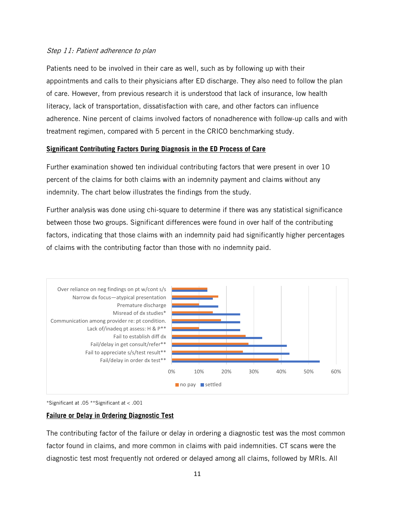# Step 11: Patient adherence to plan

Patients need to be involved in their care as well, such as by following up with their appointments and calls to their physicians after ED discharge. They also need to follow the plan of care. However, from previous research it is understood that lack of insurance, low health literacy, lack of transportation, dissatisfaction with care, and other factors can influence adherence. Nine percent of claims involved factors of nonadherence with follow-up calls and with treatment regimen, compared with 5 percent in the CRICO benchmarking study.

# **Significant Contributing Factors During Diagnosis in the ED Process of Care**

Further examination showed ten individual contributing factors that were present in over 10 percent of the claims for both claims with an indemnity payment and claims without any indemnity. The chart below illustrates the findings from the study.

Further analysis was done using chi-square to determine if there was any statistical significance between those two groups. Significant differences were found in over half of the contributing factors, indicating that those claims with an indemnity paid had significantly higher percentages of claims with the contributing factor than those with no indemnity paid.



\*Significant at .05 \*\*Significant at < .001

# **Failure or Delay in Ordering Diagnostic Test**

The contributing factor of the failure or delay in ordering a diagnostic test was the most common factor found in claims, and more common in claims with paid indemnities. CT scans were the diagnostic test most frequently not ordered or delayed among all claims, followed by MRIs. All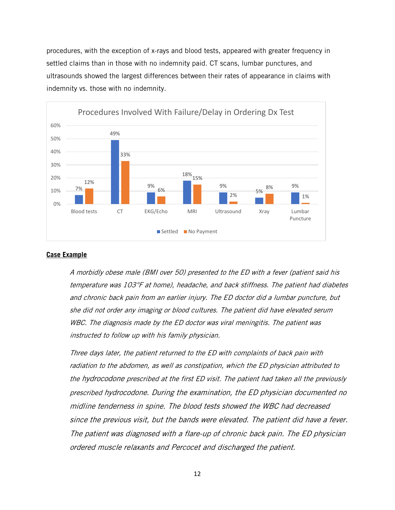procedures, with the exception of x-rays and blood tests, appeared with greater frequency in settled claims than in those with no indemnity paid. CT scans, lumbar punctures, and ultrasounds showed the largest differences between their rates of appearance in claims with indemnity vs. those with no indemnity.



#### **Case Example**

A morbidly obese male (BMI over 50) presented to the ED with a fever (patient said his temperature was 103°F at home), headache, and back stiffness. The patient had diabetes and chronic back pain from an earlier injury. The ED doctor did a lumbar puncture, but she did not order any imaging or blood cultures. The patient did have elevated serum WBC. The diagnosis made by the ED doctor was viral meningitis. The patient was instructed to follow up with his family physician.

Three days later, the patient returned to the ED with complaints of back pain with radiation to the abdomen, as well as constipation, which the ED physician attributed to the hydrocodone prescribed at the first ED visit. The patient had taken all the previously prescribed hydrocodone. During the examination, the ED physician documented no midline tenderness in spine. The blood tests showed the WBC had decreased since the previous visit, but the bands were elevated. The patient did have a fever. The patient was diagnosed with a flare-up of chronic back pain. The ED physician ordered muscle relaxants and Percocet and discharged the patient.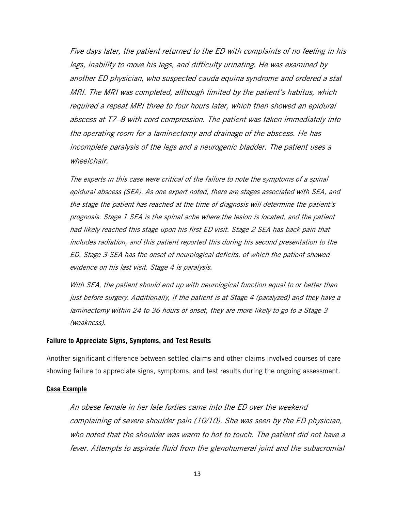Five days later, the patient returned to the ED with complaints of no feeling in his legs, inability to move his legs, and difficulty urinating. He was examined by another ED physician, who suspected cauda equina syndrome and ordered a stat MRI. The MRI was completed, although limited by the patient's habitus, which required a repeat MRI three to four hours later, which then showed an epidural abscess at T7–8 with cord compression. The patient was taken immediately into the operating room for a laminectomy and drainage of the abscess. He has incomplete paralysis of the legs and a neurogenic bladder. The patient uses a wheelchair.

The experts in this case were critical of the failure to note the symptoms of a spinal epidural abscess (SEA). As one expert noted, there are stages associated with SEA, and the stage the patient has reached at the time of diagnosis will determine the patient's prognosis. Stage 1 SEA is the spinal ache where the lesion is located, and the patient had likely reached this stage upon his first ED visit. Stage 2 SEA has back pain that includes radiation, and this patient reported this during his second presentation to the ED. Stage 3 SEA has the onset of neurological deficits, of which the patient showed evidence on his last visit. Stage 4 is paralysis.

With SEA, the patient should end up with neurological function equal to or better than just before surgery. Additionally, if the patient is at Stage 4 (paralyzed) and they have a laminectomy within 24 to 36 hours of onset, they are more likely to go to a Stage 3 (weakness).

#### **Failure to Appreciate Signs, Symptoms, and Test Results**

Another significant difference between settled claims and other claims involved courses of care showing failure to appreciate signs, symptoms, and test results during the ongoing assessment.

#### **Case Example**

An obese female in her late forties came into the ED over the weekend complaining of severe shoulder pain (10/10). She was seen by the ED physician, who noted that the shoulder was warm to hot to touch. The patient did not have a fever. Attempts to aspirate fluid from the glenohumeral joint and the subacromial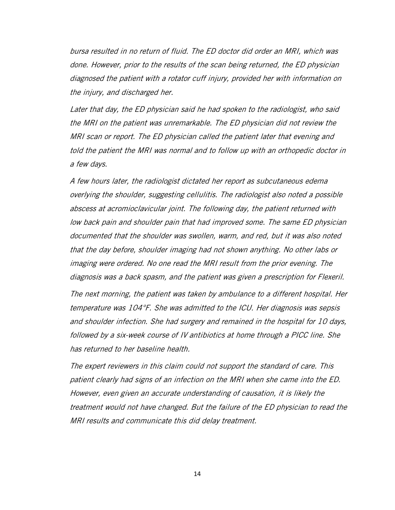bursa resulted in no return of fluid. The ED doctor did order an MRI, which was done. However, prior to the results of the scan being returned, the ED physician diagnosed the patient with a rotator cuff injury, provided her with information on the injury, and discharged her.

Later that day, the ED physician said he had spoken to the radiologist, who said the MRI on the patient was unremarkable. The ED physician did not review the MRI scan or report. The ED physician called the patient later that evening and told the patient the MRI was normal and to follow up with an orthopedic doctor in a few days.

A few hours later, the radiologist dictated her report as subcutaneous edema overlying the shoulder, suggesting cellulitis. The radiologist also noted a possible abscess at acromioclavicular joint. The following day, the patient returned with low back pain and shoulder pain that had improved some. The same ED physician documented that the shoulder was swollen, warm, and red, but it was also noted that the day before, shoulder imaging had not shown anything. No other labs or imaging were ordered. No one read the MRI result from the prior evening. The diagnosis was a back spasm, and the patient was given a prescription for Flexeril. The next morning, the patient was taken by ambulance to a different hospital. Her temperature was 104°F. She was admitted to the ICU. Her diagnosis was sepsis and shoulder infection. She had surgery and remained in the hospital for 10 days, followed by a six-week course of IV antibiotics at home through a PICC line. She has returned to her baseline health.

The expert reviewers in this claim could not support the standard of care. This patient clearly had signs of an infection on the MRI when she came into the ED. However, even given an accurate understanding of causation, it is likely the treatment would not have changed. But the failure of the ED physician to read the MRI results and communicate this did delay treatment.

14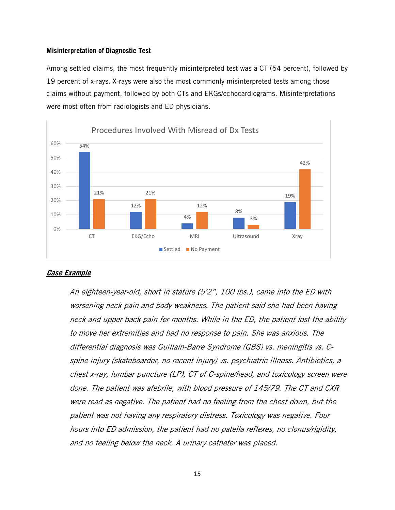#### **Misinterpretation of Diagnostic Test**

Among settled claims, the most frequently misinterpreted test was a CT (54 percent), followed by 19 percent of x-rays. X-rays were also the most commonly misinterpreted tests among those claims without payment, followed by both CTs and EKGs/echocardiograms. Misinterpretations were most often from radiologists and ED physicians.



# **Case Example**

An eighteen-year-old, short in stature (5'2", 100 lbs.), came into the ED with worsening neck pain and body weakness. The patient said she had been having neck and upper back pain for months. While in the ED, the patient lost the ability to move her extremities and had no response to pain. She was anxious. The differential diagnosis was Guillain-Barre Syndrome (GBS) vs. meningitis vs. Cspine injury (skateboarder, no recent injury) vs. psychiatric illness. Antibiotics, a chest x-ray, lumbar puncture (LP), CT of C-spine/head, and toxicology screen were done. The patient was afebrile, with blood pressure of 145/79. The CT and CXR were read as negative. The patient had no feeling from the chest down, but the patient was not having any respiratory distress. Toxicology was negative. Four hours into ED admission, the patient had no patella reflexes, no clonus/rigidity, and no feeling below the neck. A urinary catheter was placed.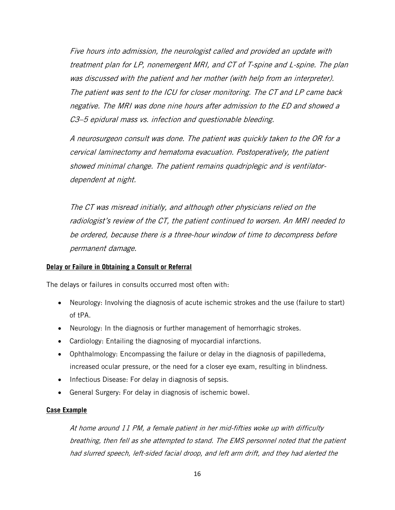Five hours into admission, the neurologist called and provided an update with treatment plan for LP, nonemergent MRI, and CT of T-spine and L-spine. The plan was discussed with the patient and her mother (with help from an interpreter). The patient was sent to the ICU for closer monitoring. The CT and LP came back negative. The MRI was done nine hours after admission to the ED and showed a C3–5 epidural mass vs. infection and questionable bleeding.

A neurosurgeon consult was done. The patient was quickly taken to the OR for a cervical laminectomy and hematoma evacuation. Postoperatively, the patient showed minimal change. The patient remains quadriplegic and is ventilatordependent at night.

The CT was misread initially, and although other physicians relied on the radiologist's review of the CT, the patient continued to worsen. An MRI needed to be ordered, because there is a three-hour window of time to decompress before permanent damage.

# **Delay or Failure in Obtaining a Consult or Referral**

The delays or failures in consults occurred most often with:

- Neurology: Involving the diagnosis of acute ischemic strokes and the use (failure to start) of tPA.
- Neurology: In the diagnosis or further management of hemorrhagic strokes.
- Cardiology: Entailing the diagnosing of myocardial infarctions.
- Ophthalmology: Encompassing the failure or delay in the diagnosis of papilledema, increased ocular pressure, or the need for a closer eye exam, resulting in blindness.
- Infectious Disease: For delay in diagnosis of sepsis.
- General Surgery: For delay in diagnosis of ischemic bowel.

# **Case Example**

At home around 11 PM, a female patient in her mid-fifties woke up with difficulty breathing, then fell as she attempted to stand. The EMS personnel noted that the patient had slurred speech, left-sided facial droop, and left arm drift, and they had alerted the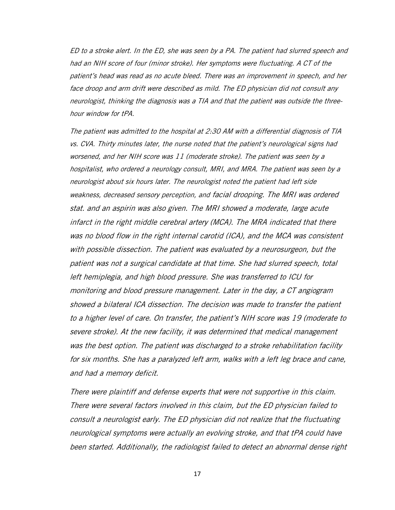ED to a stroke alert. In the ED, she was seen by a PA. The patient had slurred speech and had an NIH score of four (minor stroke). Her symptoms were fluctuating. A CT of the patient's head was read as no acute bleed. There was an improvement in speech, and her face droop and arm drift were described as mild. The ED physician did not consult any neurologist, thinking the diagnosis was a TIA and that the patient was outside the threehour window for tPA.

The patient was admitted to the hospital at 2:30 AM with a differential diagnosis of TIA vs. CVA. Thirty minutes later, the nurse noted that the patient's neurological signs had worsened, and her NIH score was 11 (moderate stroke). The patient was seen by a hospitalist, who ordered a neurology consult, MRI, and MRA. The patient was seen by a neurologist about six hours later. The neurologist noted the patient had left side weakness, decreased sensory perception, and facial drooping. The MRI was ordered stat. and an aspirin was also given. The MRI showed a moderate, large acute infarct in the right middle cerebral artery (MCA). The MRA indicated that there was no blood flow in the right internal carotid (ICA), and the MCA was consistent with possible dissection. The patient was evaluated by a neurosurgeon, but the patient was not a surgical candidate at that time. She had slurred speech, total left hemiplegia, and high blood pressure. She was transferred to ICU for monitoring and blood pressure management. Later in the day, a CT angiogram showed a bilateral ICA dissection. The decision was made to transfer the patient to a higher level of care. On transfer, the patient's NIH score was 19 (moderate to severe stroke). At the new facility, it was determined that medical management was the best option. The patient was discharged to a stroke rehabilitation facility for six months. She has a paralyzed left arm, walks with a left leg brace and cane, and had a memory deficit.

There were plaintiff and defense experts that were not supportive in this claim. There were several factors involved in this claim, but the ED physician failed to consult a neurologist early. The ED physician did not realize that the fluctuating neurological symptoms were actually an evolving stroke, and that tPA could have been started. Additionally, the radiologist failed to detect an abnormal dense right

17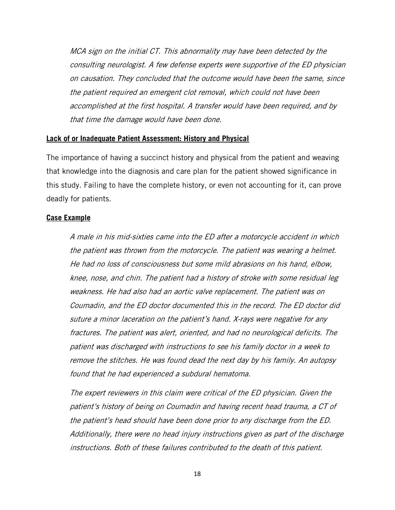MCA sign on the initial CT. This abnormality may have been detected by the consulting neurologist. A few defense experts were supportive of the ED physician on causation. They concluded that the outcome would have been the same, since the patient required an emergent clot removal, which could not have been accomplished at the first hospital. A transfer would have been required, and by that time the damage would have been done.

#### **Lack of or Inadequate Patient Assessment: History and Physical**

The importance of having a succinct history and physical from the patient and weaving that knowledge into the diagnosis and care plan for the patient showed significance in this study. Failing to have the complete history, or even not accounting for it, can prove deadly for patients.

#### **Case Example**

A male in his mid-sixties came into the ED after a motorcycle accident in which the patient was thrown from the motorcycle. The patient was wearing a helmet. He had no loss of consciousness but some mild abrasions on his hand, elbow, knee, nose, and chin. The patient had a history of stroke with some residual leg weakness. He had also had an aortic valve replacement. The patient was on Coumadin, and the ED doctor documented this in the record. The ED doctor did suture a minor laceration on the patient's hand. X-rays were negative for any fractures. The patient was alert, oriented, and had no neurological deficits. The patient was discharged with instructions to see his family doctor in a week to remove the stitches. He was found dead the next day by his family. An autopsy found that he had experienced a subdural hematoma.

The expert reviewers in this claim were critical of the ED physician. Given the patient's history of being on Coumadin and having recent head trauma, a CT of the patient's head should have been done prior to any discharge from the ED. Additionally, there were no head injury instructions given as part of the discharge instructions. Both of these failures contributed to the death of this patient.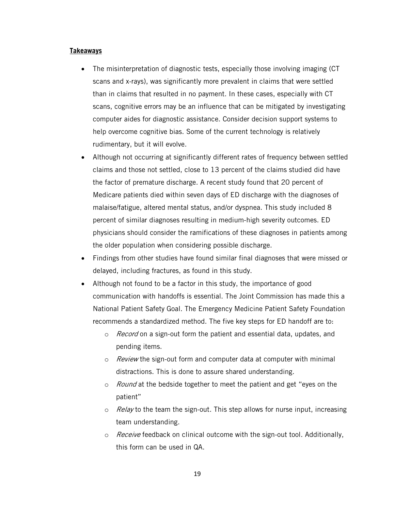#### **Takeaways**

- The misinterpretation of diagnostic tests, especially those involving imaging (CT) scans and x-rays), was significantly more prevalent in claims that were settled than in claims that resulted in no payment. In these cases, especially with CT scans, cognitive errors may be an influence that can be mitigated by investigating computer aides for diagnostic assistance. Consider decision support systems to help overcome cognitive bias. Some of the current technology is relatively rudimentary, but it will evolve.
- Although not occurring at significantly different rates of frequency between settled claims and those not settled, close to 13 percent of the claims studied did have the factor of premature discharge. A recent study found that 20 percent of Medicare patients died within seven days of ED discharge with the diagnoses of malaise/fatigue, altered mental status, and/or dyspnea. This study included 8 percent of similar diagnoses resulting in medium-high severity outcomes. ED physicians should consider the ramifications of these diagnoses in patients among the older population when considering possible discharge.
- Findings from other studies have found similar final diagnoses that were missed or delayed, including fractures, as found in this study.
- $\bullet$  Although not found to be a factor in this study, the importance of good communication with handoffs is essential. The Joint Commission has made this a National Patient Safety Goal. The Emergency Medicine Patient Safety Foundation recommends a standardized method. The five key steps for ED handoff are to:
	- o Record on a sign-out form the patient and essential data, updates, and pending items.
	- $\circ$  Review the sign-out form and computer data at computer with minimal distractions. This is done to assure shared understanding.
	- $\circ$  *Round* at the bedside together to meet the patient and get "eyes on the patient"
	- $\circ$  Relay to the team the sign-out. This step allows for nurse input, increasing team understanding.
	- $\circ$  Receive feedback on clinical outcome with the sign-out tool. Additionally, this form can be used in QA.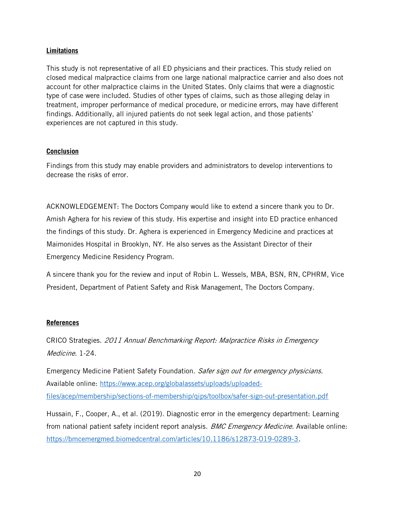# **Limitations**

This study is not representative of all ED physicians and their practices. This study relied on closed medical malpractice claims from one large national malpractice carrier and also does not account for other malpractice claims in the United States. Only claims that were a diagnostic type of case were included. Studies of other types of claims, such as those alleging delay in treatment, improper performance of medical procedure, or medicine errors, may have different findings. Additionally, all injured patients do not seek legal action, and those patients' experiences are not captured in this study.

# **Conclusion**

Findings from this study may enable providers and administrators to develop interventions to decrease the risks of error.

ACKNOWLEDGEMENT: The Doctors Company would like to extend a sincere thank you to Dr. Amish Aghera for his review of this study. His expertise and insight into ED practice enhanced the findings of this study. Dr. Aghera is experienced in Emergency Medicine and practices at Maimonides Hospital in Brooklyn, NY. He also serves as the Assistant Director of their Emergency Medicine Residency Program.

A sincere thank you for the review and input of Robin L. Wessels, MBA, BSN, RN, CPHRM, Vice President, Department of Patient Safety and Risk Management, The Doctors Company.

# **References**

CRICO Strategies. 2011 Annual Benchmarking Report: Malpractice Risks in Emergency Medicine. 1-24.

Emergency Medicine Patient Safety Foundation. Safer sign out for emergency physicians. Available online: https://www.acep.org/globalassets/uploads/uploadedfiles/acep/membership/sections-of-membership/qips/toolbox/safer-sign-out-presentation.pdf

Hussain, F., Cooper, A., et al. (2019). Diagnostic error in the emergency department: Learning from national patient safety incident report analysis. *BMC Emergency Medicine*. Available online: https://bmcemergmed.biomedcentral.com/articles/10.1186/s12873-019-0289-3.